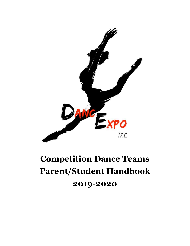

# **Competition Dance Teams Parent/Student Handbook**

## **2019-2020**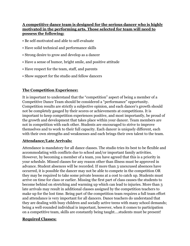#### **A competitive dance team is designed for the serious dancer who is highly motivated in the performing arts. Those selected for team will need to possess the following:**

- Be self‐motivated and able to self‐evaluate
- Have solid technical and performance skills
- Strong desire to grow and develop as a dancer
- Have a sense of humor, bright smile, and positive attitude
- Have respect for the team, staff, and parents
- Show support for the studio and fellow dancers

#### **The Competition Experience:**

It is important to understand that the "competition" aspect of being a member of a Competitive Dance Team should be considered a "performance" opportunity. Competition results are strictly a subjective opinion, and each dancer's growth should not be completely gauged by their scores or achievements at competitions. It is important to keep competition experiences positive, and most importantly, be proud of the growth and development that takes place within your dancer. Team members are not in competition with each other. Students are encouraged to strive to improve themselves and to work to their full capacity. Each dancer is uniquely different, each with their own strengths and weaknesses and each brings their own talent to the team.

#### **Attendance/Late Arrivals:**

Attendance is mandatory for all dance classes. The studio tries its best to be flexible and accommodating with conflicts due to school and/or important family activities. However, by becoming a member of a team, you have agreed that this is a priority in your schedule. Missed classes for any reason other than illness must be approved in advance. Student absences will be recorded. If more than 3 unexcused absences have occurred, it is possible the dancer may not be able to compete in the competition OR they may be required to take some private lessons at a cost to catch up. Students must arrive on time for class or earlier. Missing the first part of class causes the students to become behind on stretching and warming up which can lead to injuries. More than 3 late arrivals may result in additional classes assigned by the competition teachers to make up for the lost time. Being part of the competition team requires a full team effort and attendance is very important for all dancers. Dance teachers do understand that they are dealing with busy children and socially active teens with many school demands; being a well-rounded individual is important, however, when it comes to participation on a competitive team, skills are constantly being taught....students must be present!

#### **Required Classes:**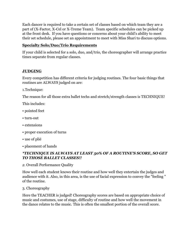Each dancer is required to take a certain set of classes based on which team they are a part of (X-Factor, X-Cel or X-Treme Team). Team specific schedules can be picked up at the front desk. If you have questions or concerns about your child's ability to meet their set schedule, please set an appointment to meet with Miss Shari to discuss options.

#### **Specialty Solo/Duo/Trio Requirements**

If your child is selected for a solo, duo, and/trio, the choreographer will arrange practice times separate from regular classes.

#### **JUDGING**

Every competition has different criteria for judging routines. The four basic things that routines are ALWAYS judged on are:

1.Technique:

The reason for all those extra ballet techs and stretch/strength classes is TECHNIQUE!

This includes:

- pointed feet
- turn‐out
- extensions
- proper execution of turns
- use of plié
- placement of hands

#### *\*TECHNIQUE IS ALWAYS AT LEAST 50% OF A ROUTINE'S SCORE, SO GET TO THOSE BALLET CLASSES!!*

*2.* Overall Performance Quality

How well each student knows their routine and how well they entertain the judges and audience with it. Also, in this area, is the use of facial expression to convey the "feeling " of the routine.

3. Choreography

Here the TEACHER is judged! Choreography scores are based on appropriate choice of music and costumes, use of stage, difficulty of routine and how well the movement in the dance relates to the music. This is often the smallest portion of the overall score.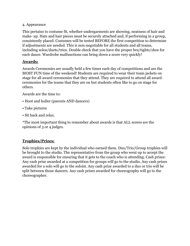#### 4. Appearance

This pertains to costume fit, whether undergarments are showing, neatness of hair and make- up. Hats and hair pieces must be securely attached and, if performing in a group, consistently placed. Costumes will be tested BEFORE the first competition to determine if adjustments are needed. This is non‐negotiable for all students and all teams, including solos/duets/trios. Double check that you have the proper bra/tights/shoe for each dance. Wardrobe malfunctions can bring down a score very quickly!

#### **Awards:**

Awards Ceremonies are usually held a few times each day of competitions and are the MOST FUN time of the weekend! Students are required to wear their team jackets on stage for all award ceremonies that they attend. They are required to attend all award ceremonies for the teams that they are on but students often like to go on stage for others.

Awards are the time to:

- Hoot and holler (parents AND dancers)
- Take pictures
- Sit back and relax.

\*The most important thing to remember about awards is that ALL scores are the opinions of 3 or 4 judges.

#### **Trophies/Prizes:**

Solo trophies are kept by the individual who earned them. Duo/Trio/Group trophies will be brought to the studio. The representative from the group who went up to accept the award is responsible for ensuring that it gets to the coach who is attending. Cash prizes: Any cash prize awarded at a competition for groups will go to the studio. Any cash prizes awarded for a solo will go to the soloist. Any cash prize awarded to a duo or trio will be split between those dancers. Any cash prizes awarded for choreography will go to the choreographer.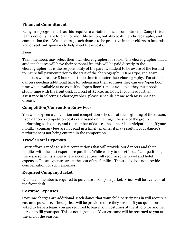#### **Financial Commitment**

Being in a program such as this requires a certain financial commitment. Competitive teams not only have to plan for monthly tuition, but also costume, choreography, and competition fees. We encourage each dancer to be proactive in their efforts to fundraise and or seek out sponsors to help meet these costs.

#### **Fees**

Team members may select their own choreographer for solos. The choreographer that a student chooses will have their personal fee, this will be paid directly to the choreographer. It is the responsibility of the parent/student to be aware of the fee and to insure full payment prior to the start of the choreography. DancExpo, Inc. team members will receive 8 hours of studio time to master their choreography. For studio dancers needing additional time for rehearsing their routines they can use "open floor" time when available at no cost. If no "open floor" time is available, they must book studio time with the front desk at a cost of \$20.00 an hour. If you need further assistance in selecting a choreographer, please schedule a time with Miss Shari to discuss.

#### **Competition/Convention Entry Fees**

You will be given a convention and competition schedule at the beginning of the season. Each dancer's competition costs vary based on their age, the size of the group performing each dance, and the number of dances the dancer is participating in. If your monthly company fees are not paid in a timely manner it may result in your dancer's performances not being entered in the competition.

#### **Travel/Hotel Expenses**

Every effort is made to select competitions that will provide our dancers and their families with the best experience possible. While we try to select "local" competitions, there are some instances where a competition will require some travel and hotel expenses. These expenses are at the cost of the families. The studio does not provide compensation for such expenses.

#### **Required Company Jacket**

Each team member is required to purchase a company jacket. Prices will be available at the front desk.

#### **Costume Expenses**

Costume charges are additional. Each dance that your child participates in will require a costume purchase. These prices will be provided once they are set. If you quit or are asked to leave a team, you are required to leave your costumes at the studio for another person to fill your spot. This is not negotiable. Your costume will be returned to you at the end of the season.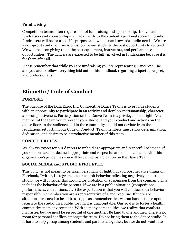#### **Fundraising**

Competition teams often require a lot of fundraising and sponsorship. Individual fundraisers and sponsorships will go directly to the student's personal account. Studio fundraisers will be for a specific purpose and will be used towards studio needs. We are a non-profit studio; our mission is to give our students the best opportunity to succeed. We will focus on giving them the best equipment, instructors, and performance opportunities. The dancers are expected to be fully involved in fundraising because it is for them after all.

Please remember that while you are fundraising you are representing DancExpo, Inc. and you are to follow everything laid out in this handbook regarding etiquette, respect, and professionalism.

## **Etiquette / Code of Conduct**

#### **PURPOSE:**

The purpose of the DancExpo, Inc. Competitive Dance Teams is to provide students with an opportunity to participate in an activity and develop sportsmanship, character, and competitiveness. Participation on the Dance Team is a privilege, not a right. As a member of the team you represent your studio; and your conduct and actions on the dance floor, in the audience and in the community should not deviate from the regulations set forth in our Code of Conduct. Team members must show determination, dedication, and desire to be a productive member of this team.

#### **CONDUCT RULES:**

We always expect for our dancers to uphold age appropriate and respectful behavior. If your actions are not deemed appropriate and respectful and do not coincide with this organization's guidelines you will be denied participation on the Dance Team.

#### **SOCIAL MEDIA and STUDIO ETIQUETTE:**

This policy is not meant to be taken personally or lightly. If you post negative things on Facebook, Twitter, Instagram, etc. or exhibit behavior reflecting negatively on our studio, we will consider this ground for probation or suspension from the company. This includes the behavior of the parents. If we are in a public situation (competitions, performances, conventions, etc.) the expectation is that you will conduct your behavior responsibly. Remember you are a representative of DancExpo, Inc. If there are situations that need to be addressed, please remember that we can handle those upon return to the studio. In a public forum, it is unacceptable. Our goal is to foster a healthy competitive team environment. With so many personalities, we realize that conflicts may arise, but we must be respectful of one another. Be kind to one another. There is no room for personal conflicts amongst the team. Do not bring them to the dance studio. It is hard to stop gossip among students and parents altogether, but we do not want it to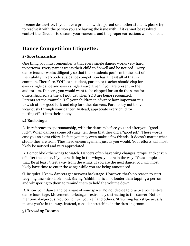become destructive. If you have a problem with a parent or another student, please try to resolve it with the person you are having the issue with. If it cannot be resolved contact the Director to discuss your concerns and the proper corrections will be made.

## **Dance Competition Etiquette:**

#### **1) Sportsmanship**

One thing you must remember is that every single dancer works very hard to perform. Every parent wants their child to do well and be noticed. Every dance teacher works diligently so that their students perform to the best of their ability. Everybody at a dance competition has at least all of that in common. Therefore, YOU, as a student, parent, or teacher should clap for every single dance and every single award given if you are present in the auditorium. Dancers, you would want to be clapped for, so do the same for others. Appreciate the art not just when YOU are being recognized. Parents set the example. Tell your children in advance how important it is to wish others good luck and clap for other dancers. Parents try not to live vicariously through your dancer. Instead, appreciate every child for putting effort into their hobby.

#### **2) Backstage**

A. In reference to sportsmanship, wish the dancers before you and after you; "good luck". When dancers come off stage, tell them that they did a "good job". These words cost you no extra effort. In fact, you may even make a few friends. It doesn't matter what studio they are from. They need encouragement just as you would. Your efforts will most likely be noticed and very appreciated.

B. Do not block the wings to watch. Dancers often have wing changes, props, and/or run off after the dance. If you are sitting in the wings, you are in the way. It's as simple as that. Be at least 3 feet away from the wings. If you are the next dance, you will most likely have time to enter the wings while you are being announced.

C. Be quiet. I know dancers get nervous backstage. However, that's no reason to start laughing uncontrollably loud. Saying "shhhhhh" is a lot louder than tapping a person and whispering to them to remind them to hold the volume down.

D. Know your dance and be aware of your space. Do not decide to practice your entire dance backstage. Movement backstage is extremely distracting to the dancer. Not to mention, dangerous. You could hurt yourself and others. Stretching backstage usually means you're in the way. Instead, consider stretching in the dressing room.

#### **3) Dressing Rooms**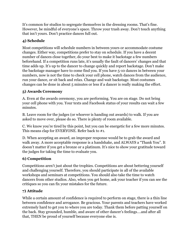It's common for studios to segregate themselves in the dressing rooms. That's fine. However, be mindful of everyone's space. Throw your trash away. Don't touch anything that isn't yours. Don't practice dances full out.

#### **4) Schedule**

Most competitions will schedule numbers in between yours or accommodate costume changes. Either way, competitions prefer to stay on schedule. If you have a decent number of dances close together, do your best to make it backstage a few numbers beforehand. If a competition runs late, it's usually the fault of dancers' changes and that time adds up. It's up to the dancer to change quickly and report backstage. Don't make the backstage manager have to come find you. If you have 5-10 dances in between your numbers, now is not the time to check your cell phone, watch dances from the audience, run your dance, or sit back and relax. Change and wait backstage. Most costumes changes can be done in about 5 minutes or less if a dancer is really making the effort.

#### **5) Awards Ceremony**

A. Even at the awards ceremony, you are performing. You are on stage. Do not bring your cell phone with you. Your texts and Facebook status of your results can wait a few minutes.

B. Leave room for the judges (or whoever is handing out awards) to walk. If you are asked to move over, please do so. There is plenty of room available.

C. We know you're tired by this point, but you can be energetic for a few more minutes. This means clap for EVERYONE. Refer back to #1.

D. When accepting an award, an improper response would be to grab the award and walk away. A more acceptable response is a handshake, and ALWAYS a "Thank You". It doesn't matter if you get a bronze or a platinum. It's nice to show your gratitude toward the judges for taking the time to evaluate you.

#### **6) Competition**

Competitions aren't just about the trophies. Competitions are about bettering yourself and challenging yourself. Therefore, you should participate in all of the available workshops and seminars at competitions. You should also take the time to watch dancers from other studios. Also, when you get home, ask your teacher if you can see the critiques so you can fix your mistakes for the future.

#### **7) Attitude**

While a certain amount of confidence is required to perform on stage, there is a thin line between confidence and arrogance. Be gracious. Your parents and teachers have worked extremely hard to get you to where you are today. Thank them before patting yourself on the back. Stay grounded, humble, and aware of other dancer's feelings….and after all that, THEN be proud of yourself because everyone else is.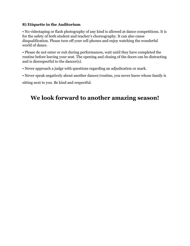#### **8) Etiquette in the Auditorium**

• No videotaping or flash photography of any kind is allowed at dance competitions. It is for the safety of both student and teacher's choreography. It can also cause disqualification. Please turn off your cell phones and enjoy watching the wonderful world of dance.

• Please do not enter or exit during performances, wait until they have completed the routine before leaving your seat. The opening and closing of the doors can be distracting and is disrespectful to the dancer(s).

• Never approach a judge with questions regarding an adjudication or mark.

• Never speak negatively about another dancer/routine, you never know whose family is

sitting next to you. Be kind and respectful.

## **We look forward to another amazing season!**